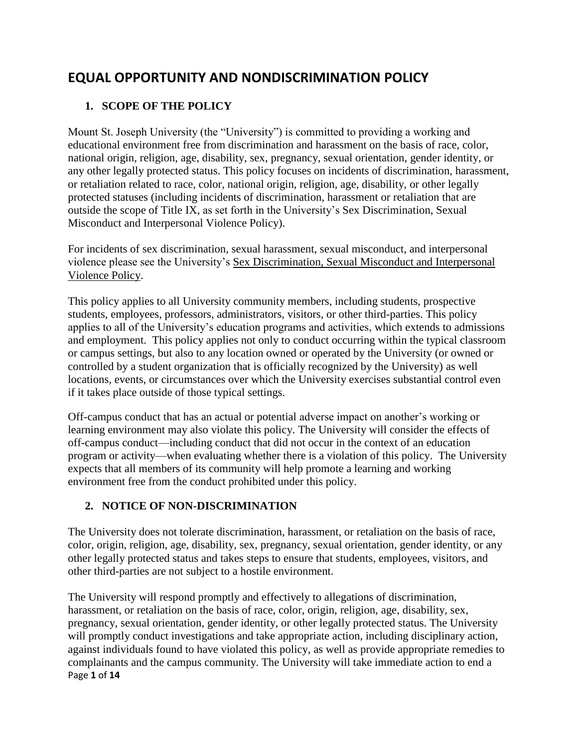# **EQUAL OPPORTUNITY AND NONDISCRIMINATION POLICY**

# **1. SCOPE OF THE POLICY**

Mount St. Joseph University (the "University") is committed to providing a working and educational environment free from discrimination and harassment on the basis of race, color, national origin, religion, age, disability, sex, pregnancy, sexual orientation, gender identity, or any other legally protected status. This policy focuses on incidents of discrimination, harassment, or retaliation related to race, color, national origin, religion, age, disability, or other legally protected statuses (including incidents of discrimination, harassment or retaliation that are outside the scope of Title IX, as set forth in the University's Sex Discrimination, Sexual Misconduct and Interpersonal Violence Policy).

For incidents of sex discrimination, sexual harassment, sexual misconduct, and interpersonal violence please see the University's Sex Discrimination, Sexual Misconduct and Interpersonal Violence Policy.

This policy applies to all University community members, including students, prospective students, employees, professors, administrators, visitors, or other third-parties. This policy applies to all of the University's education programs and activities, which extends to admissions and employment. This policy applies not only to conduct occurring within the typical classroom or campus settings, but also to any location owned or operated by the University (or owned or controlled by a student organization that is officially recognized by the University) as well locations, events, or circumstances over which the University exercises substantial control even if it takes place outside of those typical settings.

Off-campus conduct that has an actual or potential adverse impact on another's working or learning environment may also violate this policy. The University will consider the effects of off-campus conduct—including conduct that did not occur in the context of an education program or activity—when evaluating whether there is a violation of this policy. The University expects that all members of its community will help promote a learning and working environment free from the conduct prohibited under this policy.

# **2. NOTICE OF NON-DISCRIMINATION**

The University does not tolerate discrimination, harassment, or retaliation on the basis of race, color, origin, religion, age, disability, sex, pregnancy, sexual orientation, gender identity, or any other legally protected status and takes steps to ensure that students, employees, visitors, and other third-parties are not subject to a hostile environment.

Page **1** of **14** The University will respond promptly and effectively to allegations of discrimination, harassment, or retaliation on the basis of race, color, origin, religion, age, disability, sex, pregnancy, sexual orientation, gender identity, or other legally protected status. The University will promptly conduct investigations and take appropriate action, including disciplinary action, against individuals found to have violated this policy, as well as provide appropriate remedies to complainants and the campus community. The University will take immediate action to end a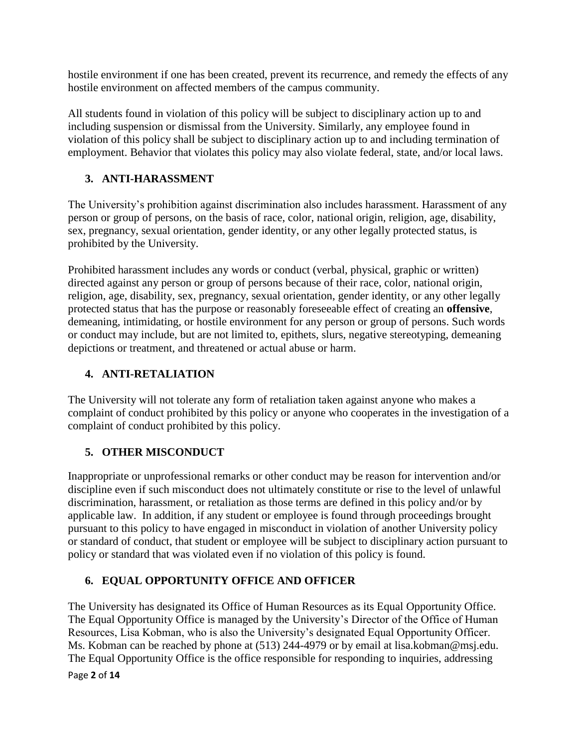hostile environment if one has been created, prevent its recurrence, and remedy the effects of any hostile environment on affected members of the campus community.

All students found in violation of this policy will be subject to disciplinary action up to and including suspension or dismissal from the University. Similarly, any employee found in violation of this policy shall be subject to disciplinary action up to and including termination of employment. Behavior that violates this policy may also violate federal, state, and/or local laws.

# **3. ANTI-HARASSMENT**

The University's prohibition against discrimination also includes harassment. Harassment of any person or group of persons, on the basis of race, color, national origin, religion, age, disability, sex, pregnancy, sexual orientation, gender identity, or any other legally protected status, is prohibited by the University.

Prohibited harassment includes any words or conduct (verbal, physical, graphic or written) directed against any person or group of persons because of their race, color, national origin, religion, age, disability, sex, pregnancy, sexual orientation, gender identity, or any other legally protected status that has the purpose or reasonably foreseeable effect of creating an **offensive**, demeaning, intimidating, or hostile environment for any person or group of persons. Such words or conduct may include, but are not limited to, epithets, slurs, negative stereotyping, demeaning depictions or treatment, and threatened or actual abuse or harm.

# **4. ANTI-RETALIATION**

The University will not tolerate any form of retaliation taken against anyone who makes a complaint of conduct prohibited by this policy or anyone who cooperates in the investigation of a complaint of conduct prohibited by this policy.

# **5. OTHER MISCONDUCT**

Inappropriate or unprofessional remarks or other conduct may be reason for intervention and/or discipline even if such misconduct does not ultimately constitute or rise to the level of unlawful discrimination, harassment, or retaliation as those terms are defined in this policy and/or by applicable law. In addition, if any student or employee is found through proceedings brought pursuant to this policy to have engaged in misconduct in violation of another University policy or standard of conduct, that student or employee will be subject to disciplinary action pursuant to policy or standard that was violated even if no violation of this policy is found.

# **6. EQUAL OPPORTUNITY OFFICE AND OFFICER**

The University has designated its Office of Human Resources as its Equal Opportunity Office. The Equal Opportunity Office is managed by the University's Director of the Office of Human Resources, Lisa Kobman, who is also the University's designated Equal Opportunity Officer. Ms. Kobman can be reached by phone at (513) 244-4979 or by email at lisa.kobman@msj.edu. The Equal Opportunity Office is the office responsible for responding to inquiries, addressing

Page **2** of **14**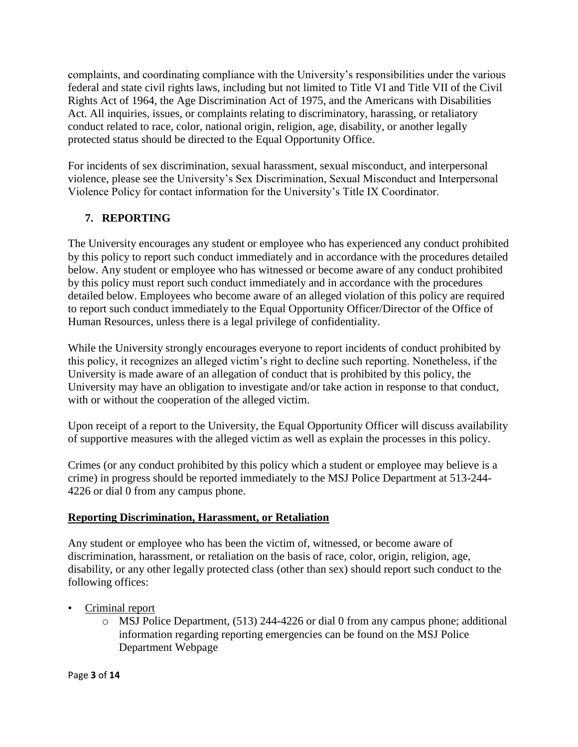complaints, and coordinating compliance with the University's responsibilities under the various federal and state civil rights laws, including but not limited to Title VI and Title VII of the Civil Rights Act of 1964, the Age Discrimination Act of 1975, and the Americans with Disabilities Act. All inquiries, issues, or complaints relating to discriminatory, harassing, or retaliatory conduct related to race, color, national origin, religion, age, disability, or another legally protected status should be directed to the Equal Opportunity Office.

For incidents of sex discrimination, sexual harassment, sexual misconduct, and interpersonal violence, please see the University's Sex Discrimination, Sexual Misconduct and Interpersonal Violence Policy for contact information for the University's Title IX Coordinator.

# **7. REPORTING**

The University encourages any student or employee who has experienced any conduct prohibited by this policy to report such conduct immediately and in accordance with the procedures detailed below. Any student or employee who has witnessed or become aware of any conduct prohibited by this policy must report such conduct immediately and in accordance with the procedures detailed below. Employees who become aware of an alleged violation of this policy are required to report such conduct immediately to the Equal Opportunity Officer/Director of the Office of Human Resources, unless there is a legal privilege of confidentiality.

While the University strongly encourages everyone to report incidents of conduct prohibited by this policy, it recognizes an alleged victim's right to decline such reporting. Nonetheless, if the University is made aware of an allegation of conduct that is prohibited by this policy, the University may have an obligation to investigate and/or take action in response to that conduct, with or without the cooperation of the alleged victim.

Upon receipt of a report to the University, the Equal Opportunity Officer will discuss availability of supportive measures with the alleged victim as well as explain the processes in this policy.

Crimes (or any conduct prohibited by this policy which a student or employee may believe is a crime) in progress should be reported immediately to the MSJ Police Department at 513-244- 4226 or dial 0 from any campus phone.

## **Reporting Discrimination, Harassment, or Retaliation**

Any student or employee who has been the victim of, witnessed, or become aware of discrimination, harassment, or retaliation on the basis of race, color, origin, religion, age, disability, or any other legally protected class (other than sex) should report such conduct to the following offices:

- Criminal report
	- o MSJ Police Department, (513) 244-4226 or dial 0 from any campus phone; additional information regarding reporting emergencies can be found on the MSJ Police Department Webpage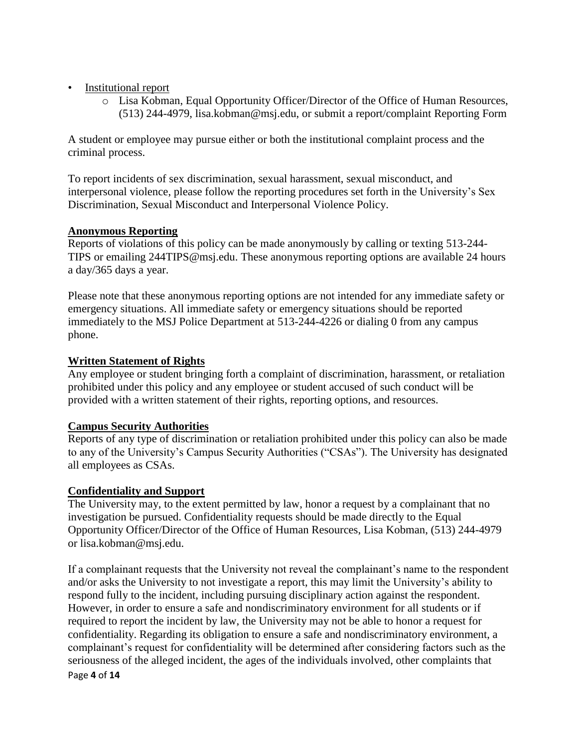- Institutional report
	- o Lisa Kobman, Equal Opportunity Officer/Director of the Office of Human Resources, (513) 244-4979, lisa.kobman@msj.edu, or submit a report/complaint Reporting Form

A student or employee may pursue either or both the institutional complaint process and the criminal process.

To report incidents of sex discrimination, sexual harassment, sexual misconduct, and interpersonal violence, please follow the reporting procedures set forth in the University's Sex Discrimination, Sexual Misconduct and Interpersonal Violence Policy.

### **Anonymous Reporting**

Reports of violations of this policy can be made anonymously by calling or texting 513-244- TIPS or emailing 244TIPS@msj.edu. These anonymous reporting options are available 24 hours a day/365 days a year.

Please note that these anonymous reporting options are not intended for any immediate safety or emergency situations. All immediate safety or emergency situations should be reported immediately to the MSJ Police Department at 513-244-4226 or dialing 0 from any campus phone.

### **Written Statement of Rights**

Any employee or student bringing forth a complaint of discrimination, harassment, or retaliation prohibited under this policy and any employee or student accused of such conduct will be provided with a written statement of their rights, reporting options, and resources.

## **Campus Security Authorities**

Reports of any type of discrimination or retaliation prohibited under this policy can also be made to any of the University's Campus Security Authorities ("CSAs"). The University has designated all employees as CSAs.

#### **Confidentiality and Support**

The University may, to the extent permitted by law, honor a request by a complainant that no investigation be pursued. Confidentiality requests should be made directly to the Equal Opportunity Officer/Director of the Office of Human Resources, Lisa Kobman, (513) 244-4979 or lisa.kobman@msj.edu.

Page **4** of **14** If a complainant requests that the University not reveal the complainant's name to the respondent and/or asks the University to not investigate a report, this may limit the University's ability to respond fully to the incident, including pursuing disciplinary action against the respondent. However, in order to ensure a safe and nondiscriminatory environment for all students or if required to report the incident by law, the University may not be able to honor a request for confidentiality. Regarding its obligation to ensure a safe and nondiscriminatory environment, a complainant's request for confidentiality will be determined after considering factors such as the seriousness of the alleged incident, the ages of the individuals involved, other complaints that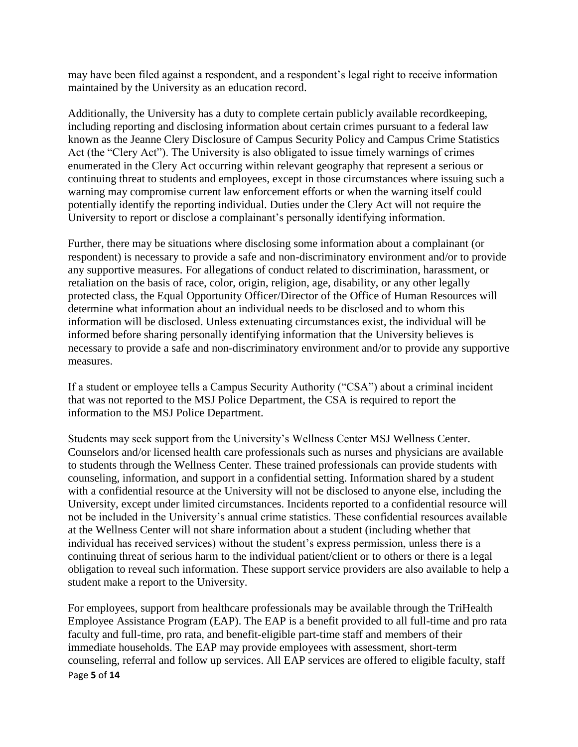may have been filed against a respondent, and a respondent's legal right to receive information maintained by the University as an education record.

Additionally, the University has a duty to complete certain publicly available recordkeeping, including reporting and disclosing information about certain crimes pursuant to a federal law known as the Jeanne Clery Disclosure of Campus Security Policy and Campus Crime Statistics Act (the "Clery Act"). The University is also obligated to issue timely warnings of crimes enumerated in the Clery Act occurring within relevant geography that represent a serious or continuing threat to students and employees, except in those circumstances where issuing such a warning may compromise current law enforcement efforts or when the warning itself could potentially identify the reporting individual. Duties under the Clery Act will not require the University to report or disclose a complainant's personally identifying information.

Further, there may be situations where disclosing some information about a complainant (or respondent) is necessary to provide a safe and non-discriminatory environment and/or to provide any supportive measures. For allegations of conduct related to discrimination, harassment, or retaliation on the basis of race, color, origin, religion, age, disability, or any other legally protected class, the Equal Opportunity Officer/Director of the Office of Human Resources will determine what information about an individual needs to be disclosed and to whom this information will be disclosed. Unless extenuating circumstances exist, the individual will be informed before sharing personally identifying information that the University believes is necessary to provide a safe and non-discriminatory environment and/or to provide any supportive measures.

If a student or employee tells a Campus Security Authority ("CSA") about a criminal incident that was not reported to the MSJ Police Department, the CSA is required to report the information to the MSJ Police Department.

Students may seek support from the University's Wellness Center MSJ Wellness Center. Counselors and/or licensed health care professionals such as nurses and physicians are available to students through the Wellness Center. These trained professionals can provide students with counseling, information, and support in a confidential setting. Information shared by a student with a confidential resource at the University will not be disclosed to anyone else, including the University, except under limited circumstances. Incidents reported to a confidential resource will not be included in the University's annual crime statistics. These confidential resources available at the Wellness Center will not share information about a student (including whether that individual has received services) without the student's express permission, unless there is a continuing threat of serious harm to the individual patient/client or to others or there is a legal obligation to reveal such information. These support service providers are also available to help a student make a report to the University.

Page **5** of **14** For employees, support from healthcare professionals may be available through the TriHealth Employee Assistance Program (EAP). The EAP is a benefit provided to all full-time and pro rata faculty and full-time, pro rata, and benefit-eligible part-time staff and members of their immediate households. The EAP may provide employees with assessment, short-term counseling, referral and follow up services. All EAP services are offered to eligible faculty, staff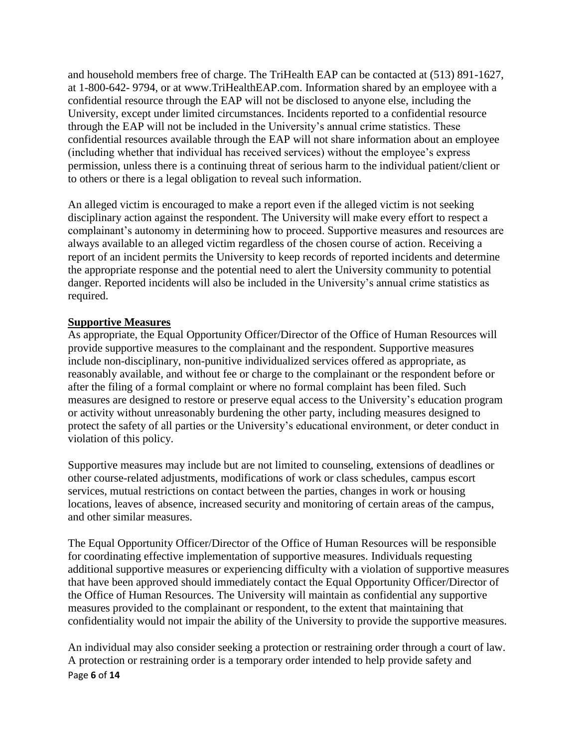and household members free of charge. The TriHealth EAP can be contacted at (513) 891-1627, at 1-800-642- 9794, or at www.TriHealthEAP.com. Information shared by an employee with a confidential resource through the EAP will not be disclosed to anyone else, including the University, except under limited circumstances. Incidents reported to a confidential resource through the EAP will not be included in the University's annual crime statistics. These confidential resources available through the EAP will not share information about an employee (including whether that individual has received services) without the employee's express permission, unless there is a continuing threat of serious harm to the individual patient/client or to others or there is a legal obligation to reveal such information.

An alleged victim is encouraged to make a report even if the alleged victim is not seeking disciplinary action against the respondent. The University will make every effort to respect a complainant's autonomy in determining how to proceed. Supportive measures and resources are always available to an alleged victim regardless of the chosen course of action. Receiving a report of an incident permits the University to keep records of reported incidents and determine the appropriate response and the potential need to alert the University community to potential danger. Reported incidents will also be included in the University's annual crime statistics as required.

#### **Supportive Measures**

As appropriate, the Equal Opportunity Officer/Director of the Office of Human Resources will provide supportive measures to the complainant and the respondent. Supportive measures include non-disciplinary, non-punitive individualized services offered as appropriate, as reasonably available, and without fee or charge to the complainant or the respondent before or after the filing of a formal complaint or where no formal complaint has been filed. Such measures are designed to restore or preserve equal access to the University's education program or activity without unreasonably burdening the other party, including measures designed to protect the safety of all parties or the University's educational environment, or deter conduct in violation of this policy.

Supportive measures may include but are not limited to counseling, extensions of deadlines or other course-related adjustments, modifications of work or class schedules, campus escort services, mutual restrictions on contact between the parties, changes in work or housing locations, leaves of absence, increased security and monitoring of certain areas of the campus, and other similar measures.

The Equal Opportunity Officer/Director of the Office of Human Resources will be responsible for coordinating effective implementation of supportive measures. Individuals requesting additional supportive measures or experiencing difficulty with a violation of supportive measures that have been approved should immediately contact the Equal Opportunity Officer/Director of the Office of Human Resources. The University will maintain as confidential any supportive measures provided to the complainant or respondent, to the extent that maintaining that confidentiality would not impair the ability of the University to provide the supportive measures.

Page **6** of **14** An individual may also consider seeking a protection or restraining order through a court of law. A protection or restraining order is a temporary order intended to help provide safety and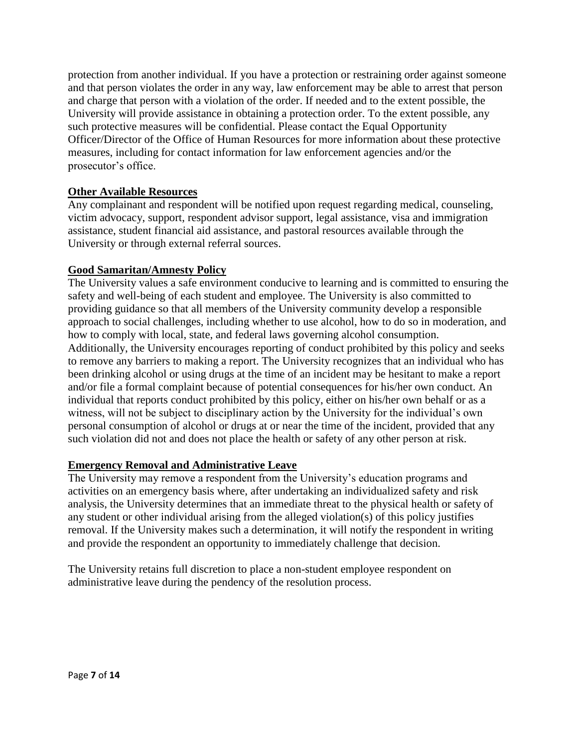protection from another individual. If you have a protection or restraining order against someone and that person violates the order in any way, law enforcement may be able to arrest that person and charge that person with a violation of the order. If needed and to the extent possible, the University will provide assistance in obtaining a protection order. To the extent possible, any such protective measures will be confidential. Please contact the Equal Opportunity Officer/Director of the Office of Human Resources for more information about these protective measures, including for contact information for law enforcement agencies and/or the prosecutor's office.

### **Other Available Resources**

Any complainant and respondent will be notified upon request regarding medical, counseling, victim advocacy, support, respondent advisor support, legal assistance, visa and immigration assistance, student financial aid assistance, and pastoral resources available through the University or through external referral sources.

#### **Good Samaritan/Amnesty Policy**

The University values a safe environment conducive to learning and is committed to ensuring the safety and well-being of each student and employee. The University is also committed to providing guidance so that all members of the University community develop a responsible approach to social challenges, including whether to use alcohol, how to do so in moderation, and how to comply with local, state, and federal laws governing alcohol consumption. Additionally, the University encourages reporting of conduct prohibited by this policy and seeks to remove any barriers to making a report. The University recognizes that an individual who has been drinking alcohol or using drugs at the time of an incident may be hesitant to make a report and/or file a formal complaint because of potential consequences for his/her own conduct. An individual that reports conduct prohibited by this policy, either on his/her own behalf or as a witness, will not be subject to disciplinary action by the University for the individual's own personal consumption of alcohol or drugs at or near the time of the incident, provided that any such violation did not and does not place the health or safety of any other person at risk.

## **Emergency Removal and Administrative Leave**

The University may remove a respondent from the University's education programs and activities on an emergency basis where, after undertaking an individualized safety and risk analysis, the University determines that an immediate threat to the physical health or safety of any student or other individual arising from the alleged violation(s) of this policy justifies removal. If the University makes such a determination, it will notify the respondent in writing and provide the respondent an opportunity to immediately challenge that decision.

The University retains full discretion to place a non-student employee respondent on administrative leave during the pendency of the resolution process.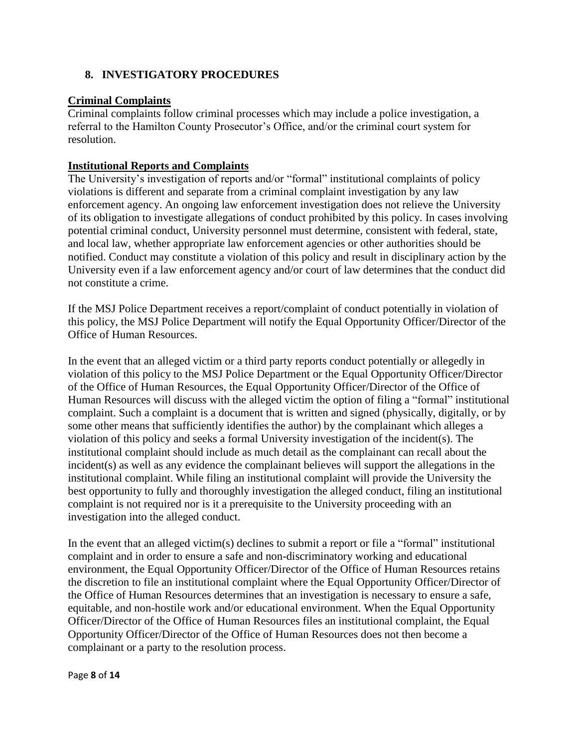## **8. INVESTIGATORY PROCEDURES**

## **Criminal Complaints**

Criminal complaints follow criminal processes which may include a police investigation, a referral to the Hamilton County Prosecutor's Office, and/or the criminal court system for resolution.

### **Institutional Reports and Complaints**

The University's investigation of reports and/or "formal" institutional complaints of policy violations is different and separate from a criminal complaint investigation by any law enforcement agency. An ongoing law enforcement investigation does not relieve the University of its obligation to investigate allegations of conduct prohibited by this policy. In cases involving potential criminal conduct, University personnel must determine, consistent with federal, state, and local law, whether appropriate law enforcement agencies or other authorities should be notified. Conduct may constitute a violation of this policy and result in disciplinary action by the University even if a law enforcement agency and/or court of law determines that the conduct did not constitute a crime.

If the MSJ Police Department receives a report/complaint of conduct potentially in violation of this policy, the MSJ Police Department will notify the Equal Opportunity Officer/Director of the Office of Human Resources.

In the event that an alleged victim or a third party reports conduct potentially or allegedly in violation of this policy to the MSJ Police Department or the Equal Opportunity Officer/Director of the Office of Human Resources, the Equal Opportunity Officer/Director of the Office of Human Resources will discuss with the alleged victim the option of filing a "formal" institutional complaint. Such a complaint is a document that is written and signed (physically, digitally, or by some other means that sufficiently identifies the author) by the complainant which alleges a violation of this policy and seeks a formal University investigation of the incident(s). The institutional complaint should include as much detail as the complainant can recall about the incident(s) as well as any evidence the complainant believes will support the allegations in the institutional complaint. While filing an institutional complaint will provide the University the best opportunity to fully and thoroughly investigation the alleged conduct, filing an institutional complaint is not required nor is it a prerequisite to the University proceeding with an investigation into the alleged conduct.

In the event that an alleged victim(s) declines to submit a report or file a "formal" institutional complaint and in order to ensure a safe and non-discriminatory working and educational environment, the Equal Opportunity Officer/Director of the Office of Human Resources retains the discretion to file an institutional complaint where the Equal Opportunity Officer/Director of the Office of Human Resources determines that an investigation is necessary to ensure a safe, equitable, and non-hostile work and/or educational environment. When the Equal Opportunity Officer/Director of the Office of Human Resources files an institutional complaint, the Equal Opportunity Officer/Director of the Office of Human Resources does not then become a complainant or a party to the resolution process.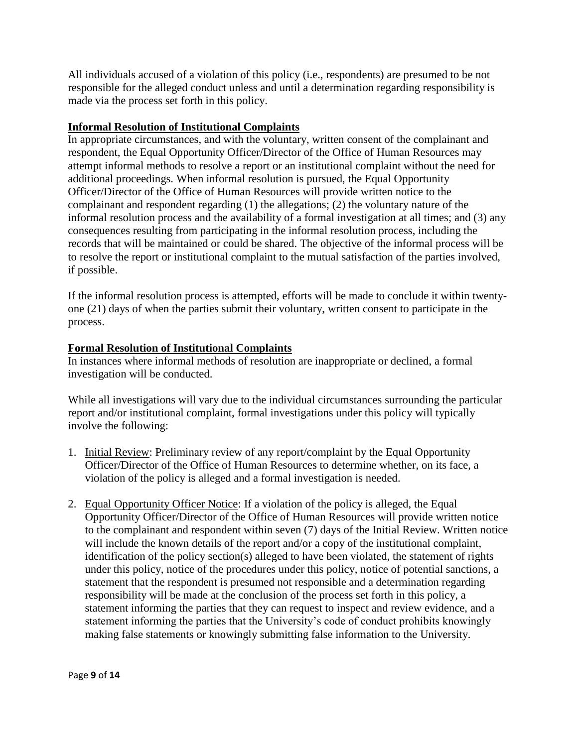All individuals accused of a violation of this policy (i.e., respondents) are presumed to be not responsible for the alleged conduct unless and until a determination regarding responsibility is made via the process set forth in this policy.

## **Informal Resolution of Institutional Complaints**

In appropriate circumstances, and with the voluntary, written consent of the complainant and respondent, the Equal Opportunity Officer/Director of the Office of Human Resources may attempt informal methods to resolve a report or an institutional complaint without the need for additional proceedings. When informal resolution is pursued, the Equal Opportunity Officer/Director of the Office of Human Resources will provide written notice to the complainant and respondent regarding (1) the allegations; (2) the voluntary nature of the informal resolution process and the availability of a formal investigation at all times; and (3) any consequences resulting from participating in the informal resolution process, including the records that will be maintained or could be shared. The objective of the informal process will be to resolve the report or institutional complaint to the mutual satisfaction of the parties involved, if possible.

If the informal resolution process is attempted, efforts will be made to conclude it within twentyone (21) days of when the parties submit their voluntary, written consent to participate in the process.

# **Formal Resolution of Institutional Complaints**

In instances where informal methods of resolution are inappropriate or declined, a formal investigation will be conducted.

While all investigations will vary due to the individual circumstances surrounding the particular report and/or institutional complaint, formal investigations under this policy will typically involve the following:

- 1. Initial Review: Preliminary review of any report/complaint by the Equal Opportunity Officer/Director of the Office of Human Resources to determine whether, on its face, a violation of the policy is alleged and a formal investigation is needed.
- 2. Equal Opportunity Officer Notice: If a violation of the policy is alleged, the Equal Opportunity Officer/Director of the Office of Human Resources will provide written notice to the complainant and respondent within seven (7) days of the Initial Review. Written notice will include the known details of the report and/or a copy of the institutional complaint, identification of the policy section(s) alleged to have been violated, the statement of rights under this policy, notice of the procedures under this policy, notice of potential sanctions, a statement that the respondent is presumed not responsible and a determination regarding responsibility will be made at the conclusion of the process set forth in this policy, a statement informing the parties that they can request to inspect and review evidence, and a statement informing the parties that the University's code of conduct prohibits knowingly making false statements or knowingly submitting false information to the University.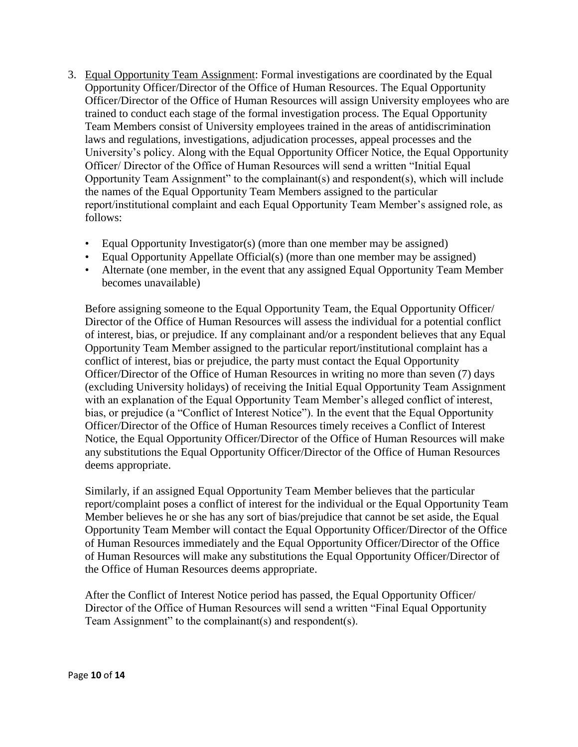- 3. Equal Opportunity Team Assignment: Formal investigations are coordinated by the Equal Opportunity Officer/Director of the Office of Human Resources. The Equal Opportunity Officer/Director of the Office of Human Resources will assign University employees who are trained to conduct each stage of the formal investigation process. The Equal Opportunity Team Members consist of University employees trained in the areas of antidiscrimination laws and regulations, investigations, adjudication processes, appeal processes and the University's policy. Along with the Equal Opportunity Officer Notice, the Equal Opportunity Officer/ Director of the Office of Human Resources will send a written "Initial Equal Opportunity Team Assignment" to the complainant(s) and respondent(s), which will include the names of the Equal Opportunity Team Members assigned to the particular report/institutional complaint and each Equal Opportunity Team Member's assigned role, as follows:
	- Equal Opportunity Investigator(s) (more than one member may be assigned)
	- Equal Opportunity Appellate Official(s) (more than one member may be assigned)
	- Alternate (one member, in the event that any assigned Equal Opportunity Team Member becomes unavailable)

Before assigning someone to the Equal Opportunity Team, the Equal Opportunity Officer/ Director of the Office of Human Resources will assess the individual for a potential conflict of interest, bias, or prejudice. If any complainant and/or a respondent believes that any Equal Opportunity Team Member assigned to the particular report/institutional complaint has a conflict of interest, bias or prejudice, the party must contact the Equal Opportunity Officer/Director of the Office of Human Resources in writing no more than seven (7) days (excluding University holidays) of receiving the Initial Equal Opportunity Team Assignment with an explanation of the Equal Opportunity Team Member's alleged conflict of interest, bias, or prejudice (a "Conflict of Interest Notice"). In the event that the Equal Opportunity Officer/Director of the Office of Human Resources timely receives a Conflict of Interest Notice, the Equal Opportunity Officer/Director of the Office of Human Resources will make any substitutions the Equal Opportunity Officer/Director of the Office of Human Resources deems appropriate.

Similarly, if an assigned Equal Opportunity Team Member believes that the particular report/complaint poses a conflict of interest for the individual or the Equal Opportunity Team Member believes he or she has any sort of bias/prejudice that cannot be set aside, the Equal Opportunity Team Member will contact the Equal Opportunity Officer/Director of the Office of Human Resources immediately and the Equal Opportunity Officer/Director of the Office of Human Resources will make any substitutions the Equal Opportunity Officer/Director of the Office of Human Resources deems appropriate.

After the Conflict of Interest Notice period has passed, the Equal Opportunity Officer/ Director of the Office of Human Resources will send a written "Final Equal Opportunity Team Assignment" to the complainant(s) and respondent(s).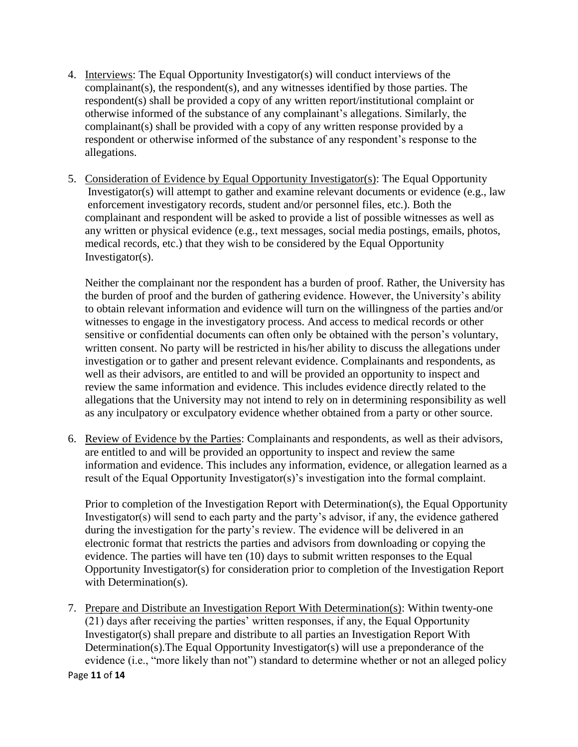- 4. Interviews: The Equal Opportunity Investigator(s) will conduct interviews of the complainant(s), the respondent(s), and any witnesses identified by those parties. The respondent(s) shall be provided a copy of any written report/institutional complaint or otherwise informed of the substance of any complainant's allegations. Similarly, the complainant(s) shall be provided with a copy of any written response provided by a respondent or otherwise informed of the substance of any respondent's response to the allegations.
- 5. Consideration of Evidence by Equal Opportunity Investigator(s): The Equal Opportunity Investigator(s) will attempt to gather and examine relevant documents or evidence (e.g., law enforcement investigatory records, student and/or personnel files, etc.). Both the complainant and respondent will be asked to provide a list of possible witnesses as well as any written or physical evidence (e.g., text messages, social media postings, emails, photos, medical records, etc.) that they wish to be considered by the Equal Opportunity Investigator(s).

 Neither the complainant nor the respondent has a burden of proof. Rather, the University has the burden of proof and the burden of gathering evidence. However, the University's ability to obtain relevant information and evidence will turn on the willingness of the parties and/or witnesses to engage in the investigatory process. And access to medical records or other sensitive or confidential documents can often only be obtained with the person's voluntary, written consent. No party will be restricted in his/her ability to discuss the allegations under investigation or to gather and present relevant evidence. Complainants and respondents, as well as their advisors, are entitled to and will be provided an opportunity to inspect and review the same information and evidence. This includes evidence directly related to the allegations that the University may not intend to rely on in determining responsibility as well as any inculpatory or exculpatory evidence whether obtained from a party or other source.

6. Review of Evidence by the Parties: Complainants and respondents, as well as their advisors, are entitled to and will be provided an opportunity to inspect and review the same information and evidence. This includes any information, evidence, or allegation learned as a result of the Equal Opportunity Investigator(s)'s investigation into the formal complaint.

Prior to completion of the Investigation Report with Determination(s), the Equal Opportunity Investigator(s) will send to each party and the party's advisor, if any, the evidence gathered during the investigation for the party's review. The evidence will be delivered in an electronic format that restricts the parties and advisors from downloading or copying the evidence. The parties will have ten (10) days to submit written responses to the Equal Opportunity Investigator(s) for consideration prior to completion of the Investigation Report with Determination(s).

Page **11** of **14** 7. Prepare and Distribute an Investigation Report With Determination(s): Within twenty-one (21) days after receiving the parties' written responses, if any, the Equal Opportunity Investigator(s) shall prepare and distribute to all parties an Investigation Report With Determination(s).The Equal Opportunity Investigator(s) will use a preponderance of the evidence (i.e., "more likely than not") standard to determine whether or not an alleged policy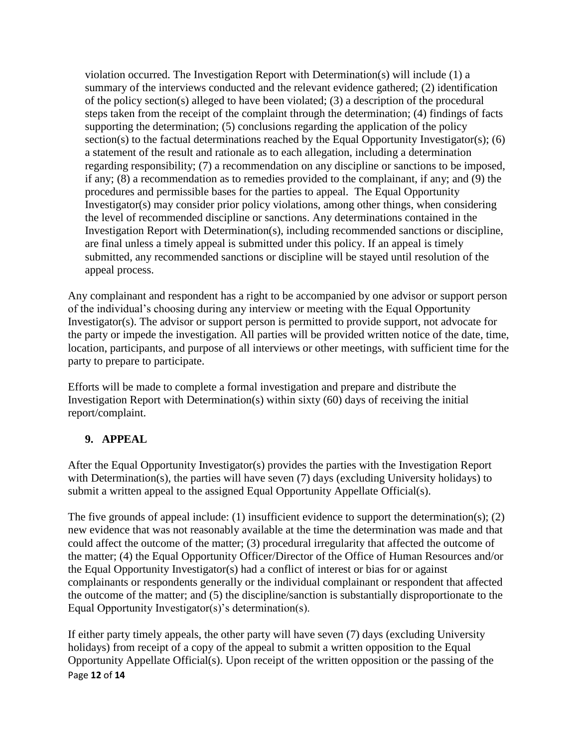violation occurred. The Investigation Report with Determination(s) will include  $(1)$  a summary of the interviews conducted and the relevant evidence gathered; (2) identification of the policy section(s) alleged to have been violated; (3) a description of the procedural steps taken from the receipt of the complaint through the determination; (4) findings of facts supporting the determination; (5) conclusions regarding the application of the policy section(s) to the factual determinations reached by the Equal Opportunity Investigator(s); (6) a statement of the result and rationale as to each allegation, including a determination regarding responsibility; (7) a recommendation on any discipline or sanctions to be imposed, if any; (8) a recommendation as to remedies provided to the complainant, if any; and (9) the procedures and permissible bases for the parties to appeal. The Equal Opportunity Investigator(s) may consider prior policy violations, among other things, when considering the level of recommended discipline or sanctions. Any determinations contained in the Investigation Report with Determination(s), including recommended sanctions or discipline, are final unless a timely appeal is submitted under this policy. If an appeal is timely submitted, any recommended sanctions or discipline will be stayed until resolution of the appeal process.

Any complainant and respondent has a right to be accompanied by one advisor or support person of the individual's choosing during any interview or meeting with the Equal Opportunity Investigator(s). The advisor or support person is permitted to provide support, not advocate for the party or impede the investigation. All parties will be provided written notice of the date, time, location, participants, and purpose of all interviews or other meetings, with sufficient time for the party to prepare to participate.

Efforts will be made to complete a formal investigation and prepare and distribute the Investigation Report with Determination(s) within sixty (60) days of receiving the initial report/complaint.

# **9. APPEAL**

After the Equal Opportunity Investigator(s) provides the parties with the Investigation Report with Determination(s), the parties will have seven (7) days (excluding University holidays) to submit a written appeal to the assigned Equal Opportunity Appellate Official(s).

The five grounds of appeal include: (1) insufficient evidence to support the determination(s); (2) new evidence that was not reasonably available at the time the determination was made and that could affect the outcome of the matter; (3) procedural irregularity that affected the outcome of the matter; (4) the Equal Opportunity Officer/Director of the Office of Human Resources and/or the Equal Opportunity Investigator(s) had a conflict of interest or bias for or against complainants or respondents generally or the individual complainant or respondent that affected the outcome of the matter; and (5) the discipline/sanction is substantially disproportionate to the Equal Opportunity Investigator(s)'s determination(s).

Page **12** of **14** If either party timely appeals, the other party will have seven (7) days (excluding University holidays) from receipt of a copy of the appeal to submit a written opposition to the Equal Opportunity Appellate Official(s). Upon receipt of the written opposition or the passing of the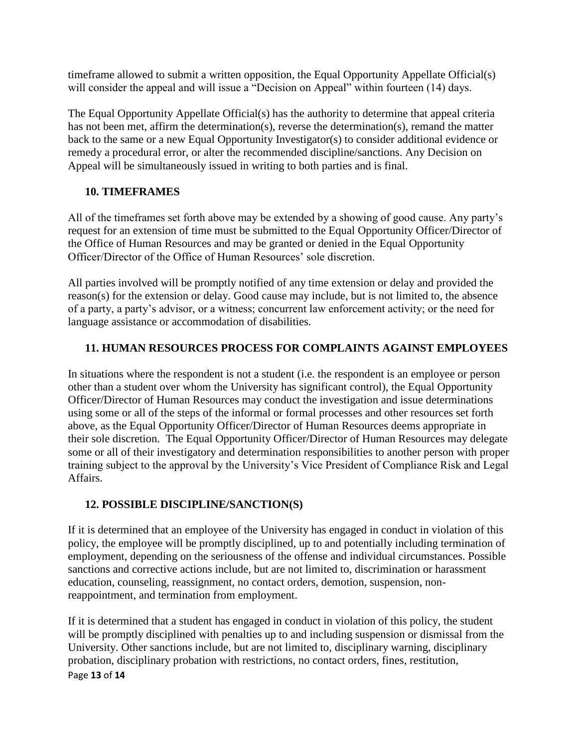timeframe allowed to submit a written opposition, the Equal Opportunity Appellate Official(s) will consider the appeal and will issue a "Decision on Appeal" within fourteen (14) days.

The Equal Opportunity Appellate Official(s) has the authority to determine that appeal criteria has not been met, affirm the determination(s), reverse the determination(s), remand the matter back to the same or a new Equal Opportunity Investigator(s) to consider additional evidence or remedy a procedural error, or alter the recommended discipline/sanctions. Any Decision on Appeal will be simultaneously issued in writing to both parties and is final.

## **10. TIMEFRAMES**

All of the timeframes set forth above may be extended by a showing of good cause. Any party's request for an extension of time must be submitted to the Equal Opportunity Officer/Director of the Office of Human Resources and may be granted or denied in the Equal Opportunity Officer/Director of the Office of Human Resources' sole discretion.

All parties involved will be promptly notified of any time extension or delay and provided the reason(s) for the extension or delay. Good cause may include, but is not limited to, the absence of a party, a party's advisor, or a witness; concurrent law enforcement activity; or the need for language assistance or accommodation of disabilities.

# **11. HUMAN RESOURCES PROCESS FOR COMPLAINTS AGAINST EMPLOYEES**

In situations where the respondent is not a student (i.e. the respondent is an employee or person other than a student over whom the University has significant control), the Equal Opportunity Officer/Director of Human Resources may conduct the investigation and issue determinations using some or all of the steps of the informal or formal processes and other resources set forth above, as the Equal Opportunity Officer/Director of Human Resources deems appropriate in their sole discretion. The Equal Opportunity Officer/Director of Human Resources may delegate some or all of their investigatory and determination responsibilities to another person with proper training subject to the approval by the University's Vice President of Compliance Risk and Legal Affairs.

## **12. POSSIBLE DISCIPLINE/SANCTION(S)**

If it is determined that an employee of the University has engaged in conduct in violation of this policy, the employee will be promptly disciplined, up to and potentially including termination of employment, depending on the seriousness of the offense and individual circumstances. Possible sanctions and corrective actions include, but are not limited to, discrimination or harassment education, counseling, reassignment, no contact orders, demotion, suspension, nonreappointment, and termination from employment.

Page **13** of **14** If it is determined that a student has engaged in conduct in violation of this policy, the student will be promptly disciplined with penalties up to and including suspension or dismissal from the University. Other sanctions include, but are not limited to, disciplinary warning, disciplinary probation, disciplinary probation with restrictions, no contact orders, fines, restitution,